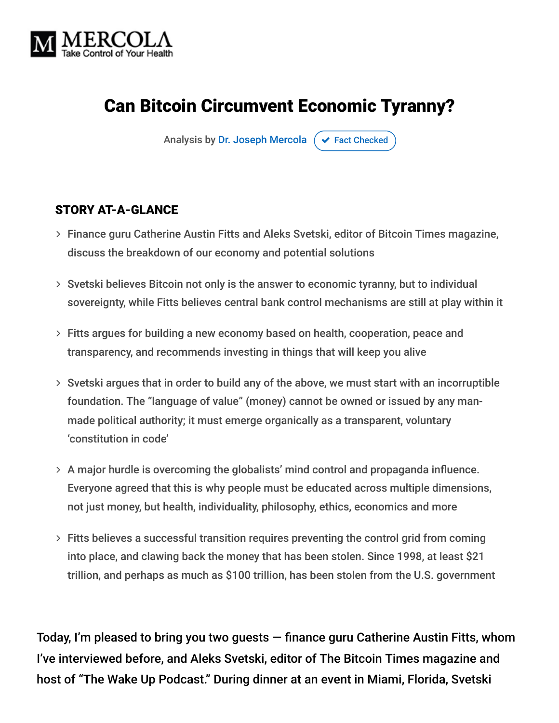

# Can Bitcoin Circumvent Economic Tyranny?

Analysis by [Dr. Joseph Mercola](https://www.mercola.com/forms/background.htm)  $\sigma$  [Fact Checked](javascript:void(0))

#### STORY AT-A-GLANCE

- Finance guru Catherine Austin Fitts and Aleks Svetski, editor of Bitcoin Times magazine, discuss the breakdown of our economy and potential solutions
- Svetski believes Bitcoin not only is the answer to economic tyranny, but to individual sovereignty, while Fitts believes central bank control mechanisms are still at play within it
- Fitts argues for building a new economy based on health, cooperation, peace and transparency, and recommends investing in things that will keep you alive
- $>$  Svetski argues that in order to build any of the above, we must start with an incorruptible foundation. The "language of value" (money) cannot be owned or issued by any manmade political authority; it must emerge organically as a transparent, voluntary 'constitution in code'
- A major hurdle is overcoming the globalists' mind control and propaganda influence. Everyone agreed that this is why people must be educated across multiple dimensions, not just money, but health, individuality, philosophy, ethics, economics and more
- $>$  Fitts believes a successful transition requires preventing the control grid from coming into place, and clawing back the money that has been stolen. Since 1998, at least \$21 trillion, and perhaps as much as \$100 trillion, has been stolen from the U.S. government

Today, I'm pleased to bring you two guests — finance guru Catherine Austin Fitts, whom I've interviewed before, and Aleks Svetski, editor of The Bitcoin Times magazine and host of "The Wake Up Podcast." During dinner at an event in Miami, Florida, Svetski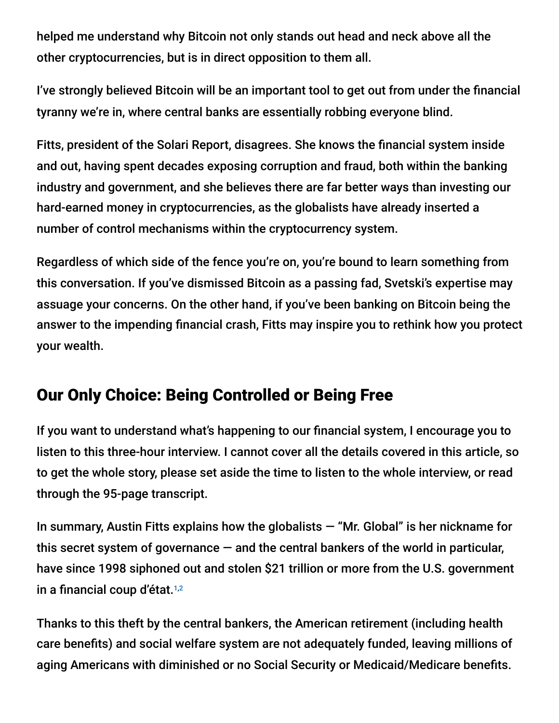helped me understand why Bitcoin not only stands out head and neck above all the other cryptocurrencies, but is in direct opposition to them all.

I've strongly believed Bitcoin will be an important tool to get out from under the financial tyranny we're in, where central banks are essentially robbing everyone blind.

Fitts, president of the Solari Report, disagrees. She knows the financial system inside and out, having spent decades exposing corruption and fraud, both within the banking industry and government, and she believes there are far better ways than investing our hard-earned money in cryptocurrencies, as the globalists have already inserted a number of control mechanisms within the cryptocurrency system.

Regardless of which side of the fence you're on, you're bound to learn something from this conversation. If you've dismissed Bitcoin as a passing fad, Svetski's expertise may assuage your concerns. On the other hand, if you've been banking on Bitcoin being the answer to the impending financial crash, Fitts may inspire you to rethink how you protect your wealth.

## Our Only Choice: Being Controlled or Being Free

If you want to understand what's happening to our financial system, I encourage you to listen to this three-hour interview. I cannot cover all the details covered in this article, so to get the whole story, please set aside the time to listen to the whole interview, or read through the 95-page transcript.

In summary, Austin Fitts explains how the globalists  $-$  "Mr. Global" is her nickname for this secret system of governance  $-$  and the central bankers of the world in particular, have since 1998 siphoned out and stolen \$21 trillion or more from the U.S. government in a financial coup d'état. 1,2

Thanks to this theft by the central bankers, the American retirement (including health care benefits) and social welfare system are not adequately funded, leaving millions of aging Americans with diminished or no Social Security or Medicaid/Medicare benefits.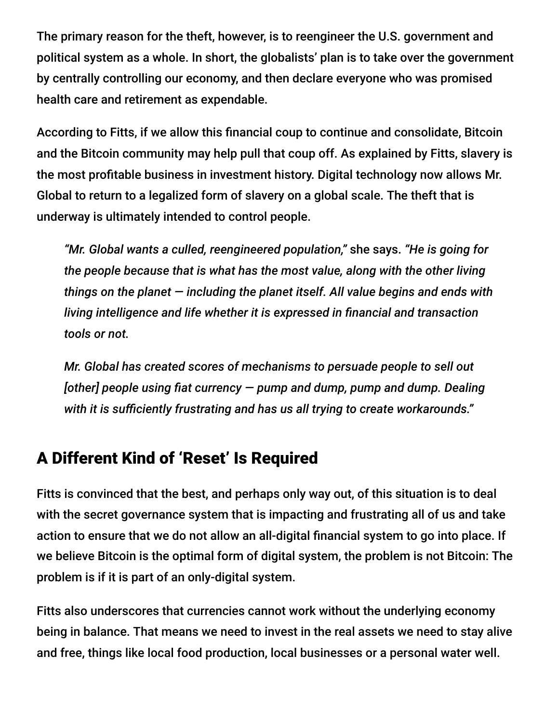The primary reason for the theft, however, is to reengineer the U.S. government and political system as a whole. In short, the globalists' plan is to take over the government by centrally controlling our economy, and then declare everyone who was promised health care and retirement as expendable.

According to Fitts, if we allow this financial coup to continue and consolidate, Bitcoin and the Bitcoin community may help pull that coup off. As explained by Fitts, slavery is the most profitable business in investment history. Digital technology now allows Mr. Global to return to a legalized form of slavery on a global scale. The theft that is underway is ultimately intended to control people.

*"Mr. Global wants a culled, reengineered population,"* she says. *"He is going for the people because that is what has the most value, along with the other living things on the planet — including the planet itself. All value begins and ends with living intelligence and life whether it is expressed in financial and transaction tools or not.*

*Mr. Global has created scores of mechanisms to persuade people to sell out [other] people using fiat currency — pump and dump, pump and dump. Dealing with it is sufficiently frustrating and has us all trying to create workarounds."*

#### A Different Kind of 'Reset' Is Required

Fitts is convinced that the best, and perhaps only way out, of this situation is to deal with the secret governance system that is impacting and frustrating all of us and take action to ensure that we do not allow an all-digital financial system to go into place. If we believe Bitcoin is the optimal form of digital system, the problem is not Bitcoin: The problem is if it is part of an only-digital system.

Fitts also underscores that currencies cannot work without the underlying economy being in balance. That means we need to invest in the real assets we need to stay alive and free, things like local food production, local businesses or a personal water well.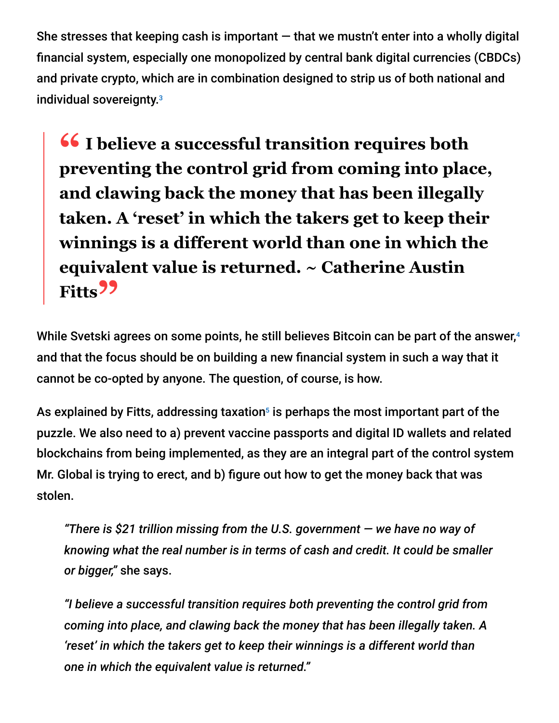She stresses that keeping cash is important  $-$  that we mustn't enter into a wholly digital financial system, especially one monopolized by central bank digital currencies (CBDCs) and private crypto, which are in combination designed to strip us of both national and individual sovereignty. 3

**<sup>66</sup>** I believe a successful transition requires both<br>preventing the control grid from coming into place **preventing the control grid from coming into place, and clawing back the money that has been illegally taken. A 'reset' in which the takers get to keep their winnings is a different world than one in which the equivalent value is returned. ~ Catherine Austin Fitts"**

While Svetski agrees on some points, he still believes Bitcoin can be part of the answer, 4 and that the focus should be on building a new financial system in such a way that it cannot be co-opted by anyone. The question, of course, is how.

As explained by Fitts, addressing taxation $^5$  is perhaps the most important part of the puzzle. We also need to a) prevent vaccine passports and digital ID wallets and related blockchains from being implemented, as they are an integral part of the control system Mr. Global is trying to erect, and b) figure out how to get the money back that was stolen.

*"There is \$21 trillion missing from the U.S. government — we have no way of knowing what the real number is in terms of cash and credit. It could be smaller or bigger,"* she says.

*"I believe a successful transition requires both preventing the control grid from coming into place, and clawing back the money that has been illegally taken. A 'reset' in which the takers get to keep their winnings is a different world than one in which the equivalent value is returned."*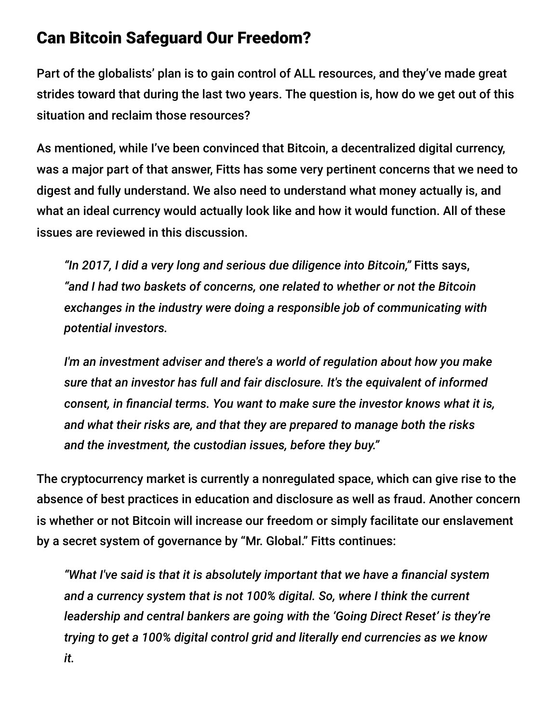#### Can Bitcoin Safeguard Our Freedom?

Part of the globalists' plan is to gain control of ALL resources, and they've made great strides toward that during the last two years. The question is, how do we get out of this situation and reclaim those resources?

As mentioned, while I've been convinced that Bitcoin, a decentralized digital currency, was a major part of that answer, Fitts has some very pertinent concerns that we need to digest and fully understand. We also need to understand what money actually is, and what an ideal currency would actually look like and how it would function. All of these issues are reviewed in this discussion.

*"In 2017, I did a very long and serious due diligence into Bitcoin,"* Fitts says, *"and I had two baskets of concerns, one related to whether or not the Bitcoin exchanges in the industry were doing a responsible job of communicating with potential investors.*

*I'm an investment adviser and there's a world of regulation about how you make sure that an investor has full and fair disclosure. It's the equivalent of informed consent, in financial terms. You want to make sure the investor knows what it is, and what their risks are, and that they are prepared to manage both the risks and the investment, the custodian issues, before they buy."*

The cryptocurrency market is currently a nonregulated space, which can give rise to the absence of best practices in education and disclosure as well as fraud. Another concern is whether or not Bitcoin will increase our freedom or simply facilitate our enslavement by a secret system of governance by "Mr. Global." Fitts continues:

*"What I've said is that it is absolutely important that we have a financial system and a currency system that is not 100% digital. So, where I think the current leadership and central bankers are going with the 'Going Direct Reset' is they're trying to get a 100% digital control grid and literally end currencies as we know it.*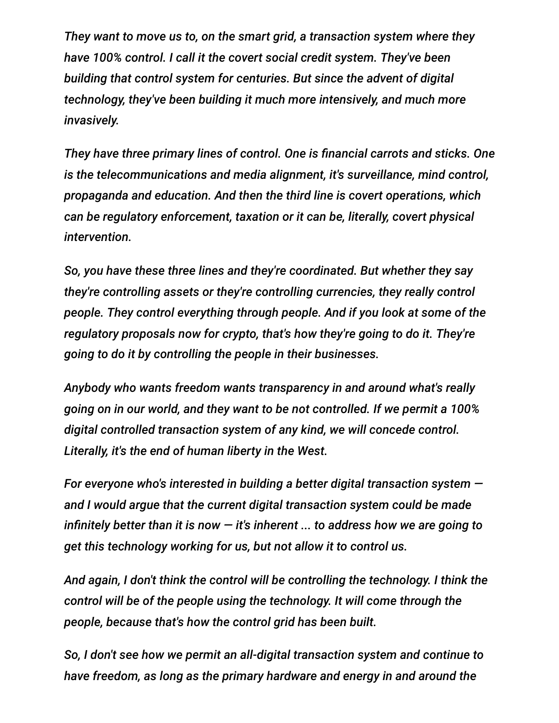*They want to move us to, on the smart grid, a transaction system where they have 100% control. I call it the covert social credit system. They've been building that control system for centuries. But since the advent of digital technology, they've been building it much more intensively, and much more invasively.*

*They have three primary lines of control. One is financial carrots and sticks. One is the telecommunications and media alignment, it's surveillance, mind control, propaganda and education. And then the third line is covert operations, which can be regulatory enforcement, taxation or it can be, literally, covert physical intervention.*

*So, you have these three lines and they're coordinated. But whether they say they're controlling assets or they're controlling currencies, they really control people. They control everything through people. And if you look at some of the regulatory proposals now for crypto, that's how they're going to do it. They're going to do it by controlling the people in their businesses.*

*Anybody who wants freedom wants transparency in and around what's really going on in our world, and they want to be not controlled. If we permit a 100% digital controlled transaction system of any kind, we will concede control. Literally, it's the end of human liberty in the West.*

*For everyone who's interested in building a better digital transaction system and I would argue that the current digital transaction system could be made infinitely better than it is now — it's inherent ... to address how we are going to get this technology working for us, but not allow it to control us.*

*And again, I don't think the control will be controlling the technology. I think the control will be of the people using the technology. It will come through the people, because that's how the control grid has been built.*

*So, I don't see how we permit an all-digital transaction system and continue to have freedom, as long as the primary hardware and energy in and around the*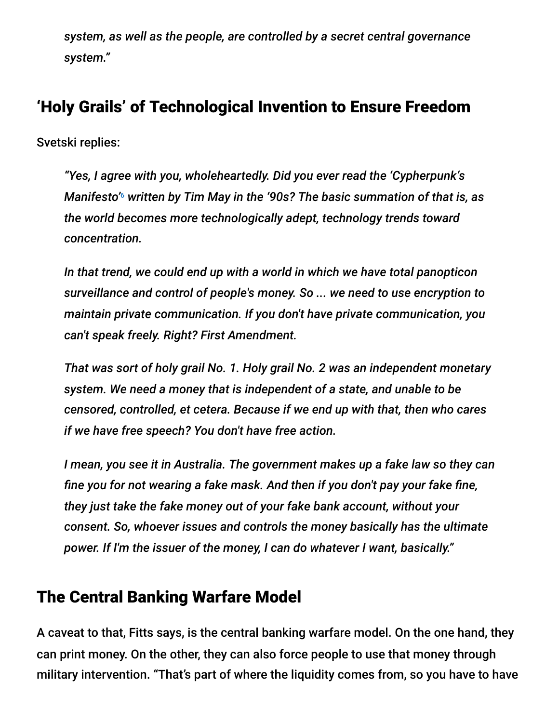*system, as well as the people, are controlled by a secret central governance system."*

## 'Holy Grails' of Technological Invention to Ensure Freedom

Svetski replies:

*"Yes, I agree with you, wholeheartedly. Did you ever read the 'Cypherpunk's* Manifesto'<sup>6</sup> written by Tim May in the '90s? The basic summation of that is, as *the world becomes more technologically adept, technology trends toward concentration.*

*In that trend, we could end up with a world in which we have total panopticon surveillance and control of people's money. So ... we need to use encryption to maintain private communication. If you don't have private communication, you can't speak freely. Right? First Amendment.*

*That was sort of holy grail No. 1. Holy grail No. 2 was an independent monetary system. We need a money that is independent of a state, and unable to be censored, controlled, et cetera. Because if we end up with that, then who cares if we have free speech? You don't have free action.*

*I mean, you see it in Australia. The government makes up a fake law so they can fine you for not wearing a fake mask. And then if you don't pay your fake fine, they just take the fake money out of your fake bank account, without your consent. So, whoever issues and controls the money basically has the ultimate power. If I'm the issuer of the money, I can do whatever I want, basically."*

#### The Central Banking Warfare Model

A caveat to that, Fitts says, is the central banking warfare model. On the one hand, they can print money. On the other, they can also force people to use that money through military intervention. "That's part of where the liquidity comes from, so you have to have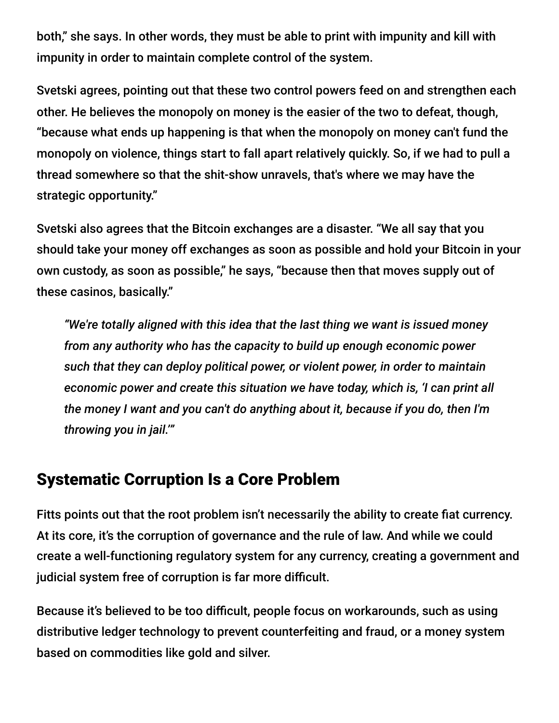both," she says. In other words, they must be able to print with impunity and kill with impunity in order to maintain complete control of the system.

Svetski agrees, pointing out that these two control powers feed on and strengthen each other. He believes the monopoly on money is the easier of the two to defeat, though, "because what ends up happening is that when the monopoly on money can't fund the monopoly on violence, things start to fall apart relatively quickly. So, if we had to pull a thread somewhere so that the shit-show unravels, that's where we may have the strategic opportunity."

Svetski also agrees that the Bitcoin exchanges are a disaster. "We all say that you should take your money off exchanges as soon as possible and hold your Bitcoin in your own custody, as soon as possible," he says, "because then that moves supply out of these casinos, basically."

*"We're totally aligned with this idea that the last thing we want is issued money from any authority who has the capacity to build up enough economic power such that they can deploy political power, or violent power, in order to maintain economic power and create this situation we have today, which is, 'I can print all the money I want and you can't do anything about it, because if you do, then I'm throwing you in jail.'"*

### Systematic Corruption Is a Core Problem

Fitts points out that the root problem isn't necessarily the ability to create fiat currency. At its core, it's the corruption of governance and the rule of law. And while we could create a well-functioning regulatory system for any currency, creating a government and judicial system free of corruption is far more difficult.

Because it's believed to be too difficult, people focus on workarounds, such as using distributive ledger technology to prevent counterfeiting and fraud, or a money system based on commodities like gold and silver.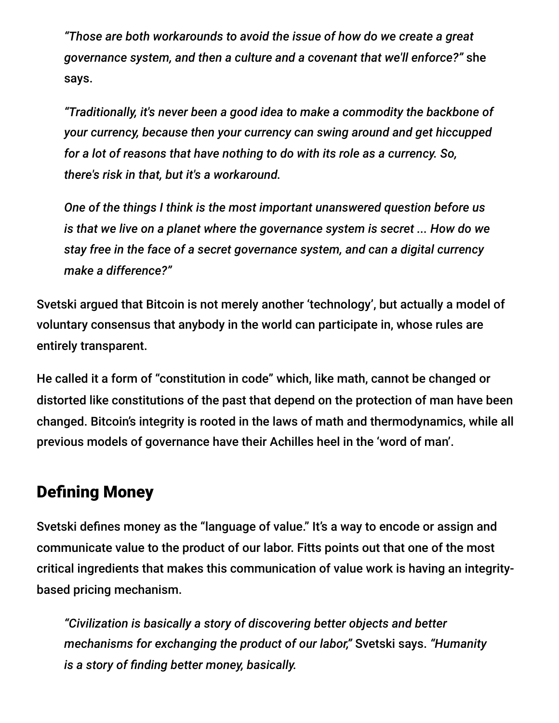*"Those are both workarounds to avoid the issue of how do we create a great governance system, and then a culture and a covenant that we'll enforce?"* she says.

*"Traditionally, it's never been a good idea to make a commodity the backbone of your currency, because then your currency can swing around and get hiccupped for a lot of reasons that have nothing to do with its role as a currency. So, there's risk in that, but it's a workaround.*

*One of the things I think is the most important unanswered question before us is that we live on a planet where the governance system is secret ... How do we stay free in the face of a secret governance system, and can a digital currency make a difference?"*

Svetski argued that Bitcoin is not merely another 'technology', but actually a model of voluntary consensus that anybody in the world can participate in, whose rules are entirely transparent.

He called it a form of "constitution in code" which, like math, cannot be changed or distorted like constitutions of the past that depend on the protection of man have been changed. Bitcoin's integrity is rooted in the laws of math and thermodynamics, while all previous models of governance have their Achilles heel in the 'word of man'.

### Defining Money

Svetski defines money as the "language of value." It's a way to encode or assign and communicate value to the product of our labor. Fitts points out that one of the most critical ingredients that makes this communication of value work is having an integritybased pricing mechanism.

*"Civilization is basically a story of discovering better objects and better mechanisms for exchanging the product of our labor,"* Svetski says. *"Humanity is a story of finding better money, basically.*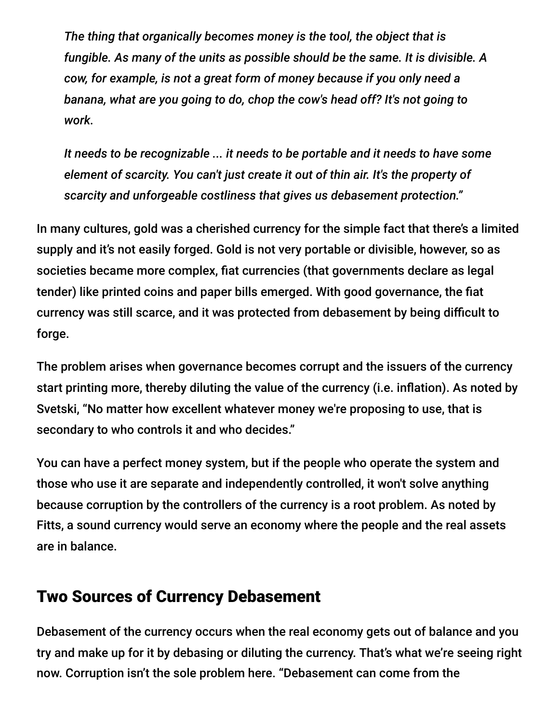*The thing that organically becomes money is the tool, the object that is fungible. As many of the units as possible should be the same. It is divisible. A cow, for example, is not a great form of money because if you only need a banana, what are you going to do, chop the cow's head off? It's not going to work.*

*It needs to be recognizable ... it needs to be portable and it needs to have some element of scarcity. You can't just create it out of thin air. It's the property of scarcity and unforgeable costliness that gives us debasement protection."*

In many cultures, gold was a cherished currency for the simple fact that there's a limited supply and it's not easily forged. Gold is not very portable or divisible, however, so as societies became more complex, fiat currencies (that governments declare as legal tender) like printed coins and paper bills emerged. With good governance, the fiat currency was still scarce, and it was protected from debasement by being difficult to forge.

The problem arises when governance becomes corrupt and the issuers of the currency start printing more, thereby diluting the value of the currency (i.e. inflation). As noted by Svetski, "No matter how excellent whatever money we're proposing to use, that is secondary to who controls it and who decides."

You can have a perfect money system, but if the people who operate the system and those who use it are separate and independently controlled, it won't solve anything because corruption by the controllers of the currency is a root problem. As noted by Fitts, a sound currency would serve an economy where the people and the real assets are in balance.

#### Two Sources of Currency Debasement

Debasement of the currency occurs when the real economy gets out of balance and you try and make up for it by debasing or diluting the currency. That's what we're seeing right now. Corruption isn't the sole problem here. "Debasement can come from the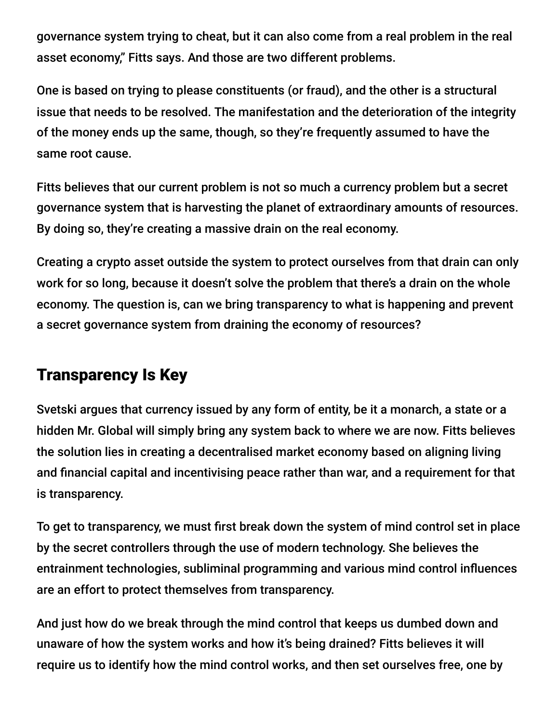governance system trying to cheat, but it can also come from a real problem in the real asset economy," Fitts says. And those are two different problems.

One is based on trying to please constituents (or fraud), and the other is a structural issue that needs to be resolved. The manifestation and the deterioration of the integrity of the money ends up the same, though, so they're frequently assumed to have the same root cause.

Fitts believes that our current problem is not so much a currency problem but a secret governance system that is harvesting the planet of extraordinary amounts of resources. By doing so, they're creating a massive drain on the real economy.

Creating a crypto asset outside the system to protect ourselves from that drain can only work for so long, because it doesn't solve the problem that there's a drain on the whole economy. The question is, can we bring transparency to what is happening and prevent a secret governance system from draining the economy of resources?

### Transparency Is Key

Svetski argues that currency issued by any form of entity, be it a monarch, a state or a hidden Mr. Global will simply bring any system back to where we are now. Fitts believes the solution lies in creating a decentralised market economy based on aligning living and financial capital and incentivising peace rather than war, and a requirement for that is transparency.

To get to transparency, we must first break down the system of mind control set in place by the secret controllers through the use of modern technology. She believes the entrainment technologies, subliminal programming and various mind control influences are an effort to protect themselves from transparency.

And just how do we break through the mind control that keeps us dumbed down and unaware of how the system works and how it's being drained? Fitts believes it will require us to identify how the mind control works, and then set ourselves free, one by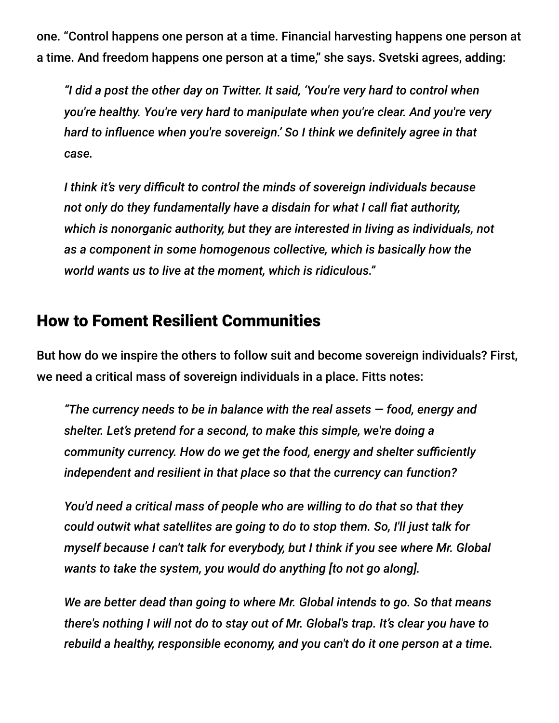one. "Control happens one person at a time. Financial harvesting happens one person at a time. And freedom happens one person at a time," she says. Svetski agrees, adding:

*"I did a post the other day on Twitter. It said, 'You're very hard to control when you're healthy. You're very hard to manipulate when you're clear. And you're very hard to influence when you're sovereign.' So I think we definitely agree in that case.*

*I think it's very difficult to control the minds of sovereign individuals because not only do they fundamentally have a disdain for what I call fiat authority, which is nonorganic authority, but they are interested in living as individuals, not as a component in some homogenous collective, which is basically how the world wants us to live at the moment, which is ridiculous."*

#### How to Foment Resilient Communities

But how do we inspire the others to follow suit and become sovereign individuals? First, we need a critical mass of sovereign individuals in a place. Fitts notes:

*"The currency needs to be in balance with the real assets — food, energy and shelter. Let's pretend for a second, to make this simple, we're doing a community currency. How do we get the food, energy and shelter sufficiently independent and resilient in that place so that the currency can function?*

*You'd need a critical mass of people who are willing to do that so that they could outwit what satellites are going to do to stop them. So, I'll just talk for myself because I can't talk for everybody, but I think if you see where Mr. Global wants to take the system, you would do anything [to not go along].*

*We are better dead than going to where Mr. Global intends to go. So that means there's nothing I will not do to stay out of Mr. Global's trap. It's clear you have to rebuild a healthy, responsible economy, and you can't do it one person at a time.*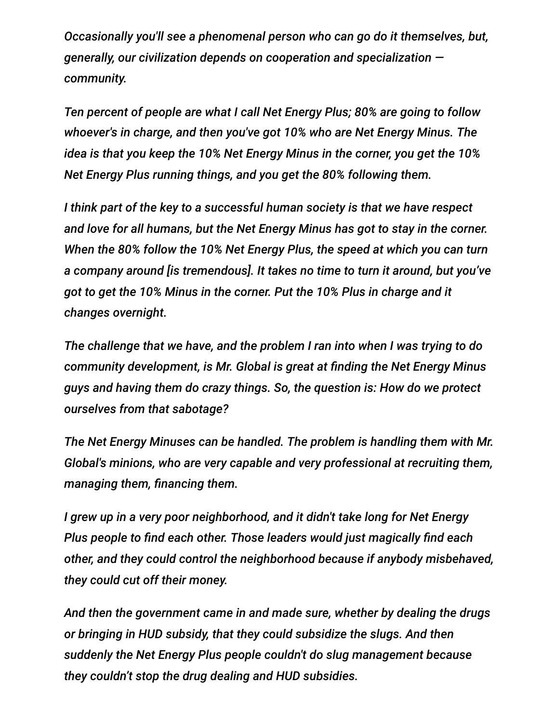*Occasionally you'll see a phenomenal person who can go do it themselves, but, generally, our civilization depends on cooperation and specialization community.*

*Ten percent of people are what I call Net Energy Plus; 80% are going to follow whoever's in charge, and then you've got 10% who are Net Energy Minus. The idea is that you keep the 10% Net Energy Minus in the corner, you get the 10% Net Energy Plus running things, and you get the 80% following them.*

*I think part of the key to a successful human society is that we have respect and love for all humans, but the Net Energy Minus has got to stay in the corner. When the 80% follow the 10% Net Energy Plus, the speed at which you can turn a company around [is tremendous]. It takes no time to turn it around, but you've got to get the 10% Minus in the corner. Put the 10% Plus in charge and it changes overnight.*

*The challenge that we have, and the problem I ran into when I was trying to do community development, is Mr. Global is great at finding the Net Energy Minus guys and having them do crazy things. So, the question is: How do we protect ourselves from that sabotage?*

*The Net Energy Minuses can be handled. The problem is handling them with Mr. Global's minions, who are very capable and very professional at recruiting them, managing them, financing them.*

*I grew up in a very poor neighborhood, and it didn't take long for Net Energy Plus people to find each other. Those leaders would just magically find each other, and they could control the neighborhood because if anybody misbehaved, they could cut off their money.*

*And then the government came in and made sure, whether by dealing the drugs or bringing in HUD subsidy, that they could subsidize the slugs. And then suddenly the Net Energy Plus people couldn't do slug management because they couldn't stop the drug dealing and HUD subsidies.*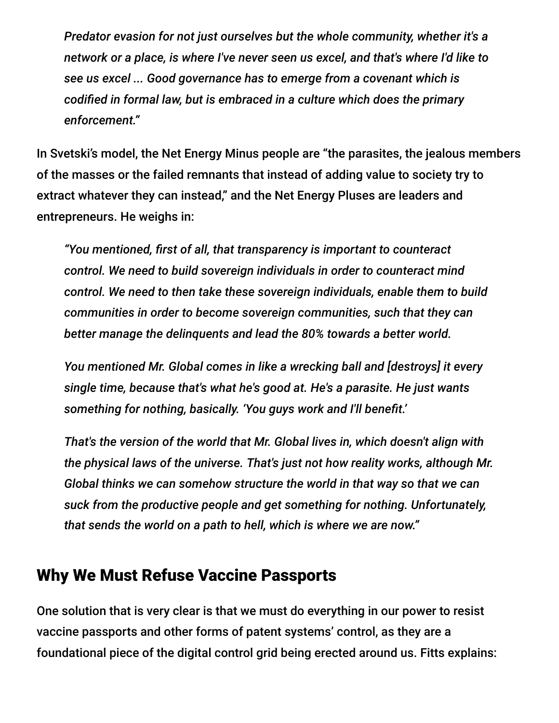*Predator evasion for not just ourselves but the whole community, whether it's a network or a place, is where I've never seen us excel, and that's where I'd like to see us excel ... Good governance has to emerge from a covenant which is codified in formal law, but is embraced in a culture which does the primary enforcement."*

In Svetski's model, the Net Energy Minus people are "the parasites, the jealous members of the masses or the failed remnants that instead of adding value to society try to extract whatever they can instead," and the Net Energy Pluses are leaders and entrepreneurs. He weighs in:

*"You mentioned, first of all, that transparency is important to counteract control. We need to build sovereign individuals in order to counteract mind control. We need to then take these sovereign individuals, enable them to build communities in order to become sovereign communities, such that they can better manage the delinquents and lead the 80% towards a better world.*

*You mentioned Mr. Global comes in like a wrecking ball and [destroys] it every single time, because that's what he's good at. He's a parasite. He just wants something for nothing, basically. 'You guys work and I'll benefit.'*

*That's the version of the world that Mr. Global lives in, which doesn't align with the physical laws of the universe. That's just not how reality works, although Mr. Global thinks we can somehow structure the world in that way so that we can suck from the productive people and get something for nothing. Unfortunately, that sends the world on a path to hell, which is where we are now."*

#### Why We Must Refuse Vaccine Passports

One solution that is very clear is that we must do everything in our power to resist vaccine passports and other forms of patent systems' control, as they are a foundational piece of the digital control grid being erected around us. Fitts explains: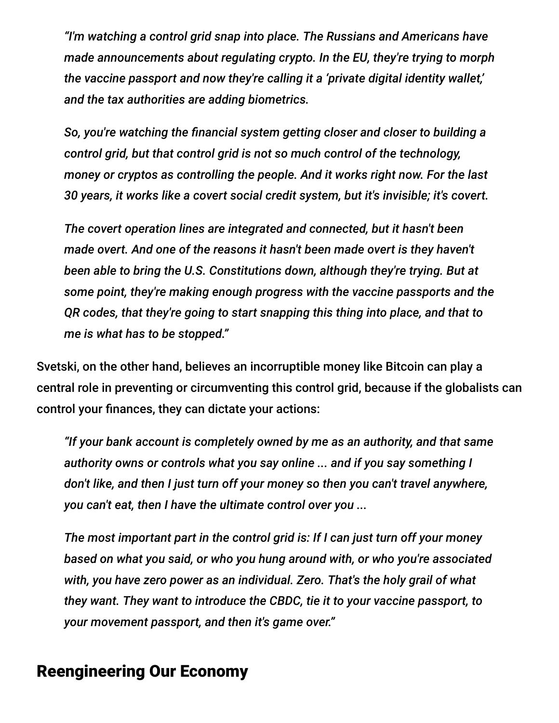*"I'm watching a control grid snap into place. The Russians and Americans have made announcements about regulating crypto. In the EU, they're trying to morph the vaccine passport and now they're calling it a 'private digital identity wallet,' and the tax authorities are adding biometrics.*

*So, you're watching the financial system getting closer and closer to building a control grid, but that control grid is not so much control of the technology, money or cryptos as controlling the people. And it works right now. For the last 30 years, it works like a covert social credit system, but it's invisible; it's covert.*

*The covert operation lines are integrated and connected, but it hasn't been made overt. And one of the reasons it hasn't been made overt is they haven't been able to bring the U.S. Constitutions down, although they're trying. But at some point, they're making enough progress with the vaccine passports and the QR codes, that they're going to start snapping this thing into place, and that to me is what has to be stopped."*

Svetski, on the other hand, believes an incorruptible money like Bitcoin can play a central role in preventing or circumventing this control grid, because if the globalists can control your finances, they can dictate your actions:

*"If your bank account is completely owned by me as an authority, and that same authority owns or controls what you say online ... and if you say something I don't like, and then I just turn off your money so then you can't travel anywhere, you can't eat, then I have the ultimate control over you ...*

*The most important part in the control grid is: If I can just turn off your money based on what you said, or who you hung around with, or who you're associated with, you have zero power as an individual. Zero. That's the holy grail of what they want. They want to introduce the CBDC, tie it to your vaccine passport, to your movement passport, and then it's game over."*

#### Reengineering Our Economy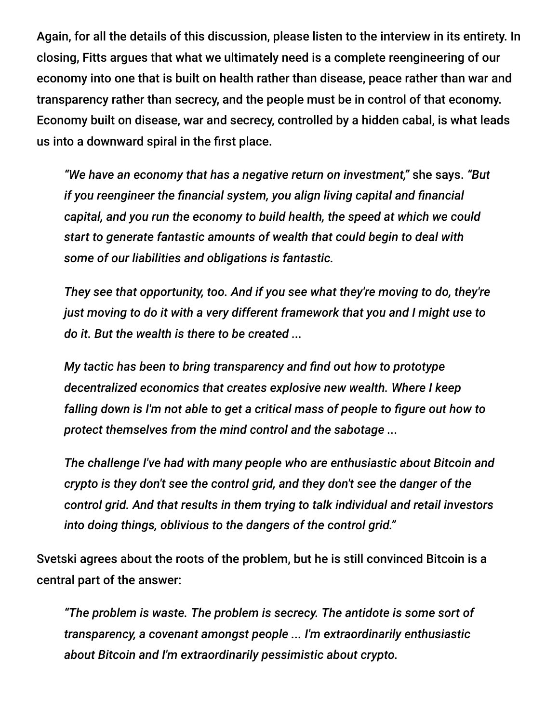Again, for all the details of this discussion, please listen to the interview in its entirety. In closing, Fitts argues that what we ultimately need is a complete reengineering of our economy into one that is built on health rather than disease, peace rather than war and transparency rather than secrecy, and the people must be in control of that economy. Economy built on disease, war and secrecy, controlled by a hidden cabal, is what leads us into a downward spiral in the first place.

*"We have an economy that has a negative return on investment,"* she says. *"But if you reengineer the financial system, you align living capital and financial capital, and you run the economy to build health, the speed at which we could start to generate fantastic amounts of wealth that could begin to deal with some of our liabilities and obligations is fantastic.*

*They see that opportunity, too. And if you see what they're moving to do, they're just moving to do it with a very different framework that you and I might use to do it. But the wealth is there to be created ...*

*My tactic has been to bring transparency and find out how to prototype decentralized economics that creates explosive new wealth. Where I keep falling down is I'm not able to get a critical mass of people to figure out how to protect themselves from the mind control and the sabotage ...*

*The challenge I've had with many people who are enthusiastic about Bitcoin and crypto is they don't see the control grid, and they don't see the danger of the control grid. And that results in them trying to talk individual and retail investors into doing things, oblivious to the dangers of the control grid."*

Svetski agrees about the roots of the problem, but he is still convinced Bitcoin is a central part of the answer:

*"The problem is waste. The problem is secrecy. The antidote is some sort of transparency, a covenant amongst people ... I'm extraordinarily enthusiastic about Bitcoin and I'm extraordinarily pessimistic about crypto.*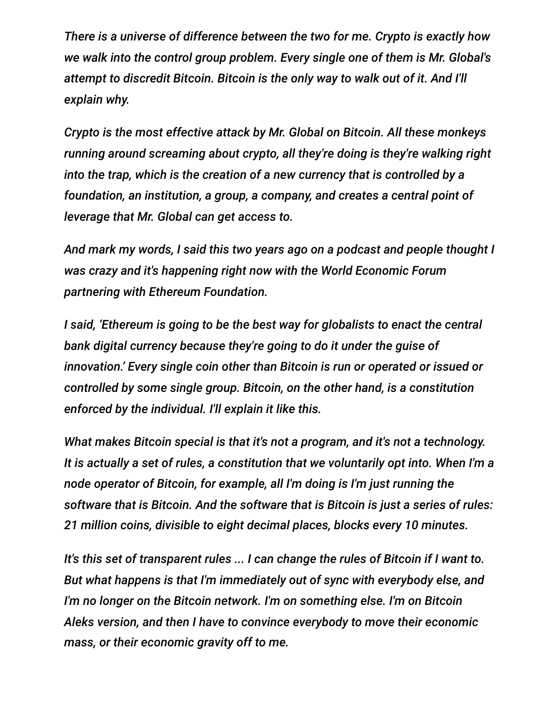*There is a universe of difference between the two for me. Crypto is exactly how we walk into the control group problem. Every single one of them is Mr. Global's attempt to discredit Bitcoin. Bitcoin is the only way to walk out of it. And I'll explain why.*

*Crypto is the most effective attack by Mr. Global on Bitcoin. All these monkeys running around screaming about crypto, all they're doing is they're walking right into the trap, which is the creation of a new currency that is controlled by a foundation, an institution, a group, a company, and creates a central point of leverage that Mr. Global can get access to.*

*And mark my words, I said this two years ago on a podcast and people thought I was crazy and it's happening right now with the World Economic Forum partnering with Ethereum Foundation.*

*I said, 'Ethereum is going to be the best way for globalists to enact the central bank digital currency because they're going to do it under the guise of innovation.' Every single coin other than Bitcoin is run or operated or issued or controlled by some single group. Bitcoin, on the other hand, is a constitution enforced by the individual. I'll explain it like this.*

*What makes Bitcoin special is that it's not a program, and it's not a technology. It is actually a set of rules, a constitution that we voluntarily opt into. When I'm a node operator of Bitcoin, for example, all I'm doing is I'm just running the software that is Bitcoin. And the software that is Bitcoin is just a series of rules: 21 million coins, divisible to eight decimal places, blocks every 10 minutes.*

*It's this set of transparent rules ... I can change the rules of Bitcoin if I want to. But what happens is that I'm immediately out of sync with everybody else, and I'm no longer on the Bitcoin network. I'm on something else. I'm on Bitcoin Aleks version, and then I have to convince everybody to move their economic mass, or their economic gravity off to me.*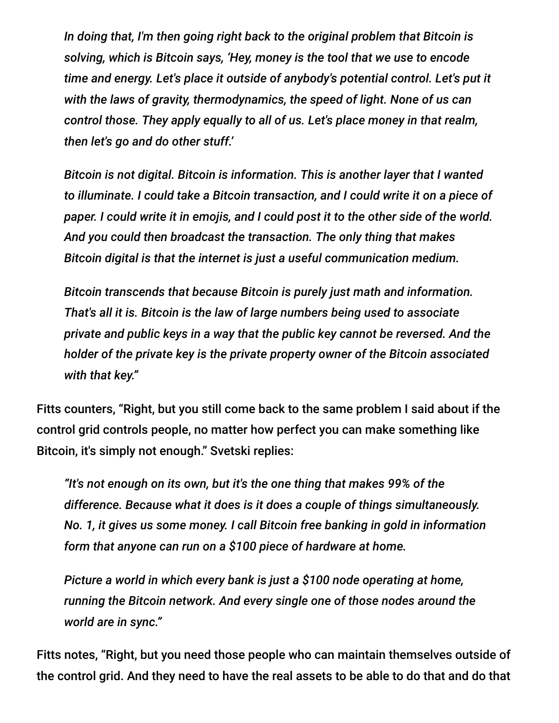*In doing that, I'm then going right back to the original problem that Bitcoin is solving, which is Bitcoin says, 'Hey, money is the tool that we use to encode time and energy. Let's place it outside of anybody's potential control. Let's put it with the laws of gravity, thermodynamics, the speed of light. None of us can control those. They apply equally to all of us. Let's place money in that realm, then let's go and do other stuff.'*

*Bitcoin is not digital. Bitcoin is information. This is another layer that I wanted to illuminate. I could take a Bitcoin transaction, and I could write it on a piece of paper. I could write it in emojis, and I could post it to the other side of the world. And you could then broadcast the transaction. The only thing that makes Bitcoin digital is that the internet is just a useful communication medium.*

*Bitcoin transcends that because Bitcoin is purely just math and information. That's all it is. Bitcoin is the law of large numbers being used to associate private and public keys in a way that the public key cannot be reversed. And the holder of the private key is the private property owner of the Bitcoin associated with that key."*

Fitts counters, "Right, but you still come back to the same problem I said about if the control grid controls people, no matter how perfect you can make something like Bitcoin, it's simply not enough." Svetski replies:

*"It's not enough on its own, but it's the one thing that makes 99% of the difference. Because what it does is it does a couple of things simultaneously. No. 1, it gives us some money. I call Bitcoin free banking in gold in information form that anyone can run on a \$100 piece of hardware at home.*

*Picture a world in which every bank is just a \$100 node operating at home, running the Bitcoin network. And every single one of those nodes around the world are in sync."*

Fitts notes, "Right, but you need those people who can maintain themselves outside of the control grid. And they need to have the real assets to be able to do that and do that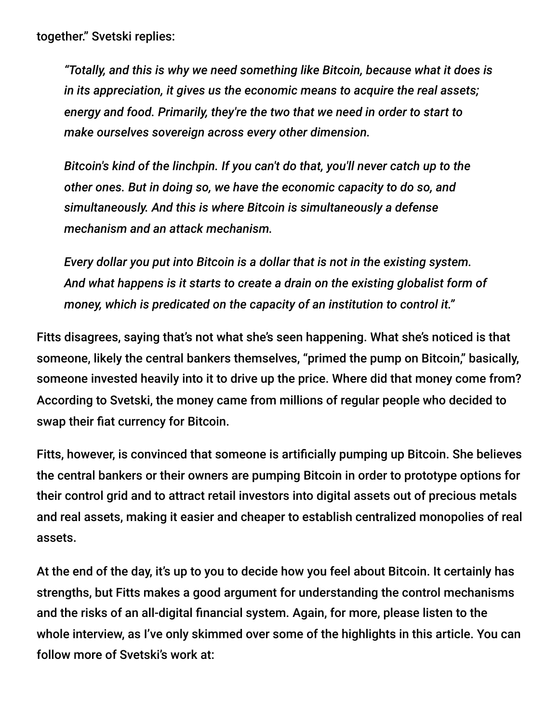together." Svetski replies:

*"Totally, and this is why we need something like Bitcoin, because what it does is in its appreciation, it gives us the economic means to acquire the real assets; energy and food. Primarily, they're the two that we need in order to start to make ourselves sovereign across every other dimension.*

*Bitcoin's kind of the linchpin. If you can't do that, you'll never catch up to the other ones. But in doing so, we have the economic capacity to do so, and simultaneously. And this is where Bitcoin is simultaneously a defense mechanism and an attack mechanism.*

*Every dollar you put into Bitcoin is a dollar that is not in the existing system. And what happens is it starts to create a drain on the existing globalist form of money, which is predicated on the capacity of an institution to control it."*

Fitts disagrees, saying that's not what she's seen happening. What she's noticed is that someone, likely the central bankers themselves, "primed the pump on Bitcoin," basically, someone invested heavily into it to drive up the price. Where did that money come from? According to Svetski, the money came from millions of regular people who decided to swap their fiat currency for Bitcoin.

Fitts, however, is convinced that someone is artificially pumping up Bitcoin. She believes the central bankers or their owners are pumping Bitcoin in order to prototype options for their control grid and to attract retail investors into digital assets out of precious metals and real assets, making it easier and cheaper to establish centralized monopolies of real assets.

At the end of the day, it's up to you to decide how you feel about Bitcoin. It certainly has strengths, but Fitts makes a good argument for understanding the control mechanisms and the risks of an all-digital financial system. Again, for more, please listen to the whole interview, as I've only skimmed over some of the highlights in this article. You can follow more of Svetski's work at: